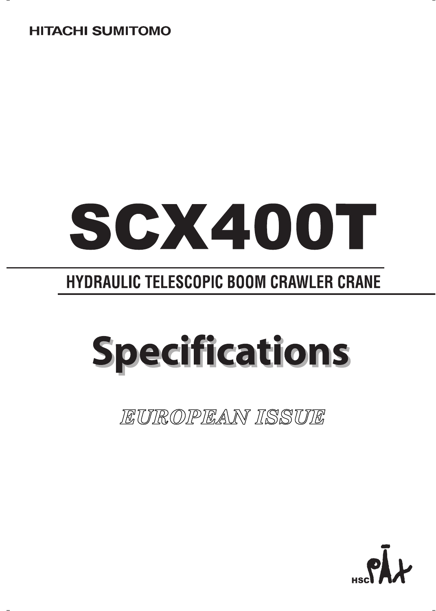### **HITACHI SUMITOMO**

# SCX400T

## **HYDRAULIC TELESCOPIC BOOM CRAWLER CRANE**

## **Specifications**

*EUROPEAN ISSUE*

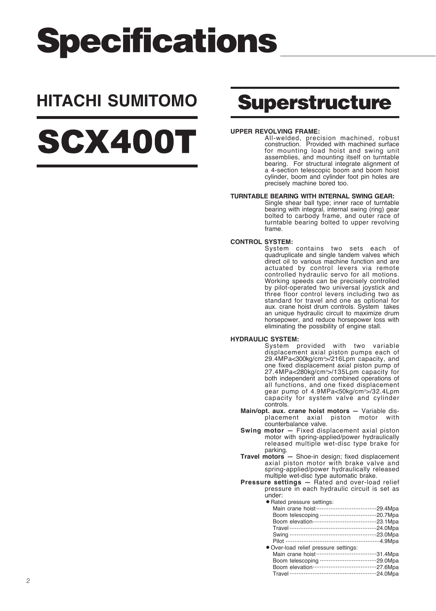## **Specifications**

## **HITACHI SUMITOMO Superstructure**

## SCX400T

#### **UPPER REVOLVING FRAME:**

All-welded, precision machined, robust construction. Provided with machined surface for mounting load hoist and swing unit assemblies, and mounting itself on turntable bearing. For structural integrate alignment of a 4-section telescopic boom and boom hoist cylinder, boom and cylinder foot pin holes are precisely machine bored too.

#### **TURNTABLE BEARING WITH INTERNAL SWING GEAR:**

Single shear ball type; inner race of turntable bearing with integral, internal swing (ring) gear bolted to carbody frame, and outer race of turntable bearing bolted to upper revolving frame.

#### **CONTROL SYSTEM:**

System contains two sets each of quadruplicate and single tandem valves which direct oil to various machine function and are actuated by control levers via remote controlled hydraulic servo for all motions. Working speeds can be precisely controlled by pilot-operated two universal joystick and three floor control levers including two as standard for travel and one as optional for aux. crane hoist drum controls. System takes an unique hydraulic circuit to maximize drum horsepower, and reduce horsepower loss with eliminating the possibility of engine stall.

#### **HYDRAULIC SYSTEM:**

System provided with two variable displacement axial piston pumps each of 29.4MPa<300kg/cm2 >/216Lpm capacity, and one fixed displacement axial piston pump of 27.4MPa<280kg/cm2 >/135Lpm capacity for both independent and combined operations of all functions, and one fixed displacement gear pump of 4.9MPa<50kg/cm2 >/32.4Lpm capacity for system valve and cylinder controls.

- **Main/opt. aux. crane hoist motors** Variable displacement axial piston motor with counterbalance valve.
- **Swing motor** Fixed displacement axial piston motor with spring-applied/power hydraulically released multiple wet-disc type brake for parking.
- **Travel motors** Shoe-in design; fixed displacement axial piston motor with brake valve and spring-applied/power hydraulically released multiple wet-disc type automatic brake.

**Pressure settings —** Rated and over-load relief pressure in each hydraulic circuit is set as under:

|  |  | · Rated pressure settings: |  |
|--|--|----------------------------|--|

| r Halou prossaro sollingo.            |  |
|---------------------------------------|--|
|                                       |  |
|                                       |  |
|                                       |  |
|                                       |  |
|                                       |  |
|                                       |  |
| • Over-load relief pressure settings: |  |
|                                       |  |
|                                       |  |
|                                       |  |
|                                       |  |
|                                       |  |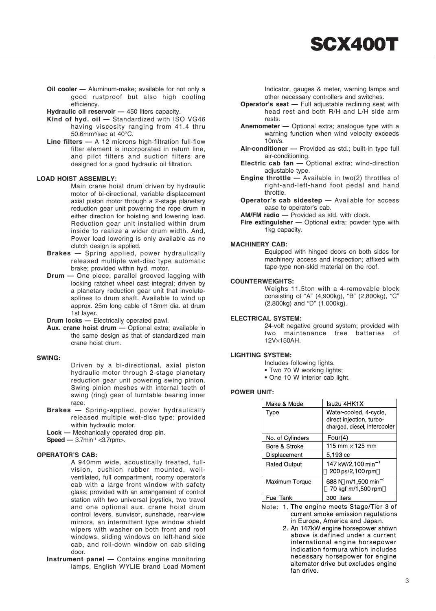**SCX400T**

**Oil cooler —** Aluminum-make; available for not only a good rustproof but also high cooling efficiency.

**Hydraulic oil reservoir —** 450 liters capacity.

- Kind of hyd. oil Standardized with ISO VG46 having viscosity ranging from 41.4 thru 50.6mm2 /sec at 40°C.
- **Line filters** A 12 microns high-filtration full-flow filter element is incorporated in return line. and pilot filters and suction filters are designed for a good hydraulic oil filtration.

#### **LOAD HOIST ASSEMBLY:**

Main crane hoist drum driven by hydraulic motor of bi-directional, variable displacement axial piston motor through a 2-stage planetary reduction gear unit powering the rope drum in either direction for hoisting and lowering load. Reduction gear unit installed within drum inside to realize a wider drum width. And, Power load lowering is only available as no clutch design is applied.

- **Brakes** Spring applied, power hydraulically released multiple wet-disc type automatic brake; provided within hyd. motor.
- **Drum** One piece, parallel grooved lagging with locking ratchet wheel cast integral; driven by a planetary reduction gear unit that involutesplines to drum shaft. Available to wind up approx. 25m long cable of 18mm dia. at drum 1st layer.

**Drum locks —** Electrically operated pawl.

**Aux. crane hoist drum —** Optional extra; available in the same design as that of standardized main crane hoist drum.

#### **SWING:**

Driven by a bi-directional, axial piston hydraulic motor through 2-stage planetary reduction gear unit powering swing pinion. Swing pinion meshes with internal teeth of swing (ring) gear of turntable bearing inner race.

**Brakes —** Spring-applied, power hydraulically released multiple wet-disc type; provided within hydraulic motor.

**Lock —** Mechanically operated drop pin.

#### **Speed — 3.7min<sup>-1</sup> <3.7rpm>.**

#### **OPERATOR'S CAB:**

A 940mm wide, acoustically treated, fullvision, cushion rubber mounted, wellventilated, full compartment, roomy operator's cab with a large front window with safety glass; provided with an arrangement of control station with two universal joystick, two travel and one optional aux. crane hoist drum control levers, sunvisor, sunshade, rear-view mirrors, an intermittent type window shield wipers with washer on both front and roof windows, sliding windows on left-hand side cab, and roll-down window on cab sliding door.

**Instrument panel —** Contains engine monitoring lamps, English WYLIE brand Load Moment

Indicator, gauges & meter, warning lamps and other necessary controllers and switches.

- **Operator's seat** Full adjustable reclining seat with head rest and both R/H and L/H side arm rests.
- **Anemometer** Optional extra; analogue type with a warning function when wind velocity exceeds 10m/s.
- **Air-conditioner** Provided as std.; built-in type full air-conditioning.
- **Electric cab fan** Optional extra; wind-direction adjustable type.
- **Engine throttle** Available in two(2) throttles of right-and-left-hand foot pedal and hand throttle.
- **Operator's cab sidestep** Available for access ease to operator's cab.
- **AM/FM radio** Provided as std. with clock.

**Fire extinguisher —** Optional extra; powder type with 1kg capacity.

#### **MACHINERY CAB:**

Equipped with hinged doors on both sides for machinery access and inspection; affixed with tape-type non-skid material on the roof.

#### **COUNTERWEIGHTS:**

Weighs 11.5ton with a 4-removable block consisting of "A" (4,900kg), "B" (2,800kg), "C" (2,800kg) and "D" (1,000kg).

#### **ELECTRICAL SYSTEM:**

24-volt negative ground system; provided with two maintenance free batteries of 12V×150AH.

#### **LIGHTING SYSTEM:**

- Includes following lights.
- Two 70 W working lights;
- One 10 W interior cab light.

#### **POWER UNIT:**

| Make & Model        | Isuzu 4HK1X                                                                        |
|---------------------|------------------------------------------------------------------------------------|
| Type                | Water-cooled, 4-cycle,<br>direct injection, turbo-<br>charged, diesel, intercooler |
| No. of Cylinders    | Four $(4)$                                                                         |
| Bore & Stroke       | 115 mm $\times$ 125 mm                                                             |
| Displacement        | 5.193 cc                                                                           |
| <b>Rated Output</b> | 147 kW/2,100 min <sup>-1</sup><br>200 ps/2,100 rpm                                 |
| Maximum Torque      | 688 N m/1,500 min <sup>-1</sup><br>70 kgf-m/1,500 rpm                              |
| <b>Fuel Tank</b>    | 300 liters                                                                         |

The engine meets Stage/Tier 3 of current smoke emission regulations in Europe, America and Japan.

An 147kW engine horsepower shown above is defined under a current international engine horsepower indication formura which includes necessary horsepower for engine alternator drive but excludes engine fan drive.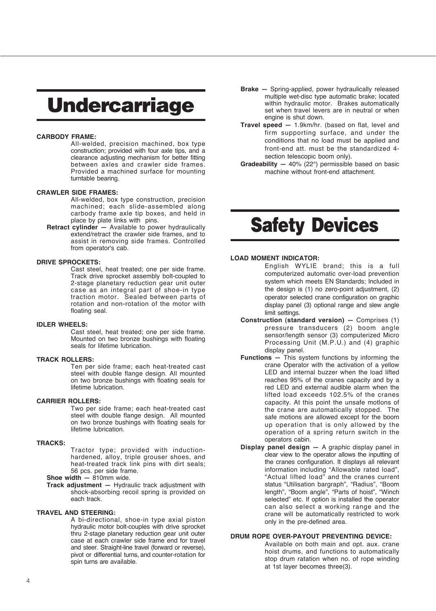## **Undercarriage**

#### **CARBODY FRAME:**

All-welded, precision machined, box type construction; provided with four axle tips, and a clearance adjusting mechanism for better fitting between axles and crawler side frames. Provided a machined surface for mounting turntable bearing.

#### **CRAWLER SIDE FRAMES:**

All-welded, box type construction, precision machined; each slide-assembled along carbody frame axle tip boxes, and held in place by plate links with pins.

**Retract cylinder —** Available to power hydraulically extend/retract the crawler side frames, and to assist in removing side frames. Controlled from operator's cab.

#### **DRIVE SPROCKETS:**

Cast steel, heat treated; one per side frame. Track drive sprocket assembly bolt-coupled to 2-stage planetary reduction gear unit outer case as an integral part of shoe-in type traction motor. Sealed between parts of rotation and non-rotation of the motor with floating seal.

#### **IDLER WHEELS:**

Cast steel, heat treated; one per side frame. Mounted on two bronze bushings with floating seals for lifetime lubrication.

#### **TRACK ROLLERS:**

Ten per side frame; each heat-treated cast steel with double flange design. All mounted on two bronze bushings with floating seals for lifetime lubrication.

#### **CARRIER ROLLERS:**

Two per side frame; each heat-treated cast steel with double flange design. All mounted on two bronze bushings with floating seals for lifetime lubrication.

#### **TRACKS:**

Tractor type; provided with inductionhardened, alloy, triple grouser shoes, and heat-treated track link pins with dirt seals; 56 pcs. per side frame.

#### **Shoe width —** 810mm wide.

**Track adjustment —** Hydraulic track adjustment with shock-absorbing recoil spring is provided on each track.

#### **TRAVEL AND STEERING:**

A bi-directional, shoe-in type axial piston hydraulic motor bolt-couples with drive sprocket thru 2-stage planetary reduction gear unit outer case at each crawler side frame end for travel and steer. Straight-line travel (forward or reverse), pivot or differential turns, and counter-rotation for spin turns are available.

- **Brake** Spring-applied, power hydraulically released multiple wet-disc type automatic brake; located within hydraulic motor. Brakes automatically set when travel levers are in neutral or when engine is shut down.
- **Travel speed** 1.9km/hr. (based on flat, level and firm supporting surface, and under the conditions that no load must be applied and front-end att. must be the standardized 4 section telescopic boom only).
- **Gradeability** 40% (22°) permissible based on basic machine without front-end attachment.

## **Safety Devices**

#### **LOAD MOMENT INDICATOR:**

- English WYLIE brand; this is a full computerized automatic over-load prevention system which meets EN Standards; Included in the design is (1) no zero-point adjustment, (2) operator selected crane configuration on graphic display panel (3) optional range and slew angle limit settings.
- **Construction (standard version)** Comprises (1) pressure transducers (2) boom angle sensor/length sensor (3) computerized Micro Processing Unit (M.P.U.) and (4) graphic display panel.
- **Functions** This system functions by informing the crane Operator with the activation of a yellow LED and internal buzzer when the load lifted reaches 95% of the cranes capacity and by a red LED and external audible alarm when the lifted load exceeds 102.5% of the cranes capacity. At this point the unsafe motlons of the crane are automatically stopped. The safe motions are allowed except for the boom up operation that is only allowed by the operation of a spring return switch in the operators cabin.
- **Display panel design** A graphic display panel in clear view to the operator allows the inputting of the cranes configuration. It displays all relevant information including "Allowable rated load", "Actual lifted load" and the cranes current status "Utilisation bargraph", "Radius", "Boom length", "Boom angle", "Parts of hoist", "Winch selected" etc. If option is installed the operator can also select a working range and the crane will be automatically restricted to work only in the pre-defined area.

#### **DRUM ROPE OVER-PAYOUT PREVENTING DEVICE:**

Available on both main and opt. aux. crane hoist drums, and functions to automatically stop drum ratation when no. of rope winding at 1st layer becomes three(3).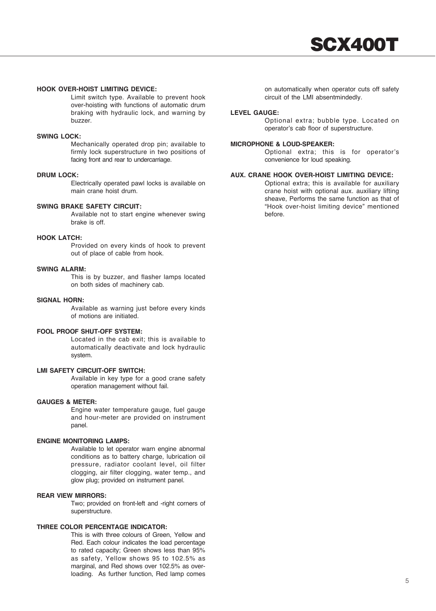#### **HOOK OVER-HOIST LIMITING DEVICE:**

Limit switch type. Available to prevent hook over-hoisting with functions of automatic drum braking with hydraulic lock, and warning by buzzer.

#### **SWING LOCK:**

Mechanically operated drop pin; available to firmly lock superstructure in two positions of facing front and rear to undercarriage.

#### **DRUM LOCK:**

Electrically operated pawl locks is available on main crane hoist drum.

#### **SWING BRAKE SAFETY CIRCUIT:**

Available not to start engine whenever swing brake is off.

#### **HOOK LATCH:**

Provided on every kinds of hook to prevent out of place of cable from hook.

#### **SWING ALARM:**

This is by buzzer, and flasher lamps located on both sides of machinery cab.

#### **SIGNAL HORN:**

Available as warning just before every kinds of motions are initiated.

#### **FOOL PROOF SHUT-OFF SYSTEM:**

Located in the cab exit; this is available to automatically deactivate and lock hydraulic system.

#### **LMI SAFETY CIRCUIT-OFF SWITCH:**

Available in key type for a good crane safety operation management without fail.

#### **GAUGES & METER:**

Engine water temperature gauge, fuel gauge and hour-meter are provided on instrument panel.

#### **ENGINE MONITORING LAMPS:**

Available to let operator warn engine abnormal conditions as to battery charge, lubrication oil pressure, radiator coolant level, oil filter clogging, air filter clogging, water temp., and glow plug; provided on instrument panel.

#### **REAR VIEW MIRRORS:**

Two; provided on front-left and -right corners of superstructure.

#### **THREE COLOR PERCENTAGE INDICATOR:**

This is with three colours of Green, Yellow and Red. Each colour indicates the load percentage to rated capacity; Green shows less than 95% as safety, Yellow shows 95 to 102.5% as marginal, and Red shows over 102.5% as overloading. As further function, Red lamp comes on automatically when operator cuts off safety circuit of the LMI absentmindedly.

#### **LEVEL GAUGE:**

Optional extra; bubble type. Located on operator's cab floor of superstructure.

#### **MICROPHONE & LOUD-SPEAKER:**

Optional extra; this is for operator's convenience for loud speaking.

#### **AUX. CRANE HOOK OVER-HOIST LIMITING DEVICE:**

Optional extra; this is available for auxiliary crane hoist with optional aux. auxiliary lifting sheave, Performs the same function as that of "Hook over-hoist limiting device" mentioned before.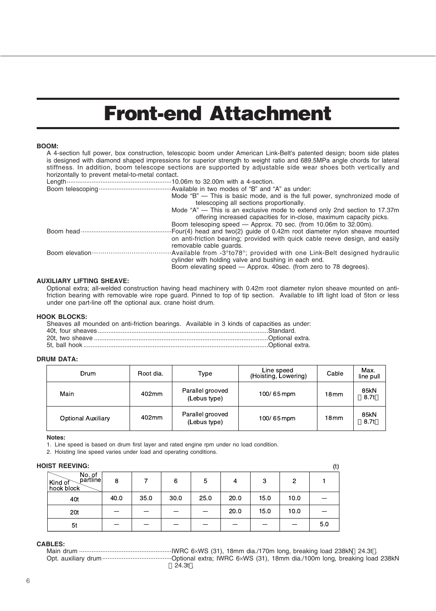## **Front-end Attachment**

#### **BOOM:**

|                                                             | A 4-section full power, box construction, telescopic boom under American Link-Belt's patented design; boom side plates<br>is designed with diamond shaped impressions for superior strength to weight ratio and 689.5MPa angle chords for lateral<br>stiffness. In addition, boom telescope sections are supported by adjustable side wear shoes both vertically and |
|-------------------------------------------------------------|----------------------------------------------------------------------------------------------------------------------------------------------------------------------------------------------------------------------------------------------------------------------------------------------------------------------------------------------------------------------|
| horizontally to prevent metal-to-metal contact.             |                                                                                                                                                                                                                                                                                                                                                                      |
| Length…………………………………………………10.06m to 32.00m with a 4-section. |                                                                                                                                                                                                                                                                                                                                                                      |
|                                                             |                                                                                                                                                                                                                                                                                                                                                                      |
|                                                             | Mode "B" — This is basic mode, and is the full power, synchronized mode of                                                                                                                                                                                                                                                                                           |
|                                                             | telescoping all sections proportionally.                                                                                                                                                                                                                                                                                                                             |
|                                                             | Mode "A" — This is an exclusive mode to extend only 2nd section to 17.37m                                                                                                                                                                                                                                                                                            |
|                                                             | offering increased capacities for in-close, maximum capacity picks.                                                                                                                                                                                                                                                                                                  |
|                                                             | Boom telesoping speed — Approx. 70 sec. (from 10.06m to 32.00m).                                                                                                                                                                                                                                                                                                     |
|                                                             | Four(4) head and two(2) quide of 0.42m root diameter nylon sheave mounted                                                                                                                                                                                                                                                                                            |
|                                                             | on anti-friction bearing; provided with quick cable reeve design, and easily                                                                                                                                                                                                                                                                                         |
|                                                             | removable cable quards.                                                                                                                                                                                                                                                                                                                                              |
|                                                             |                                                                                                                                                                                                                                                                                                                                                                      |
|                                                             | cylinder with holding valve and bushing in each end.                                                                                                                                                                                                                                                                                                                 |
|                                                             | Boom elevating speed — Approx. 40sec. (from zero to 78 degrees).                                                                                                                                                                                                                                                                                                     |

#### **AUXILIARY LIFTING SHEAVE:**

Optional extra; all-welded construction having head machinery with 0.42m root diameter nylon sheave mounted on antifriction bearing with removable wire rope guard. Pinned to top of tip section. Available to lift light load of 5ton or less under one part-line off the optional aux. crane hoist drum.

#### **HOOK BLOCKS:**

| Sheaves all mounded on anti-friction bearings. Available in 3 kinds of capacities as under: |  |
|---------------------------------------------------------------------------------------------|--|
|                                                                                             |  |
|                                                                                             |  |
|                                                                                             |  |

#### **DRUM DATA:**

| Drum               | Root dia. | Type                             | Line speed<br>(Hoisting, Lowering) | Cable            | Max.<br>line pull |
|--------------------|-----------|----------------------------------|------------------------------------|------------------|-------------------|
| Main               | 402mm     | Parallel grooved<br>(Lebus type) | 100/65mpm                          | 18 mm            | 85kN<br>8.7t      |
| Optional Auxiliary | 402mm     | Parallel grooved<br>(Lebus type) | 100/65mpm                          | 18 <sub>mm</sub> | 85kN<br>8.7t      |

#### **Notes:**

1. Line speed is based on drum first layer and rated engine rpm under no load condition.

2. Hoisting line speed varies under load and operating conditions.

#### **HOIST REEVING:**

| DIST REEVING:                                      |      |      |      |      |      |      |      | (t) |
|----------------------------------------------------|------|------|------|------|------|------|------|-----|
| No. of partline<br>Kind of $\bigcup$<br>hook block | 8    |      | 6    | 5    | 4    | З    | 2    |     |
| 40t                                                | 40.0 | 35.0 | 30.0 | 25.0 | 20.0 | 15.0 | 10.0 |     |
| 20t                                                |      |      |      |      | 20.0 | 15.0 | 10.0 |     |
| 5t                                                 |      |      |      |      |      |      |      | 5.0 |

#### **CABLES:**

Main drum ....................................................IWRC 6×WS (31), 18mm dia./170m long, breaking load 238kN 24.3t . Opt. auxiliary drum.......................................Optional extra; IWRC 6×WS (31), 18mm dia./100m long, breaking load 238kN 24.3t .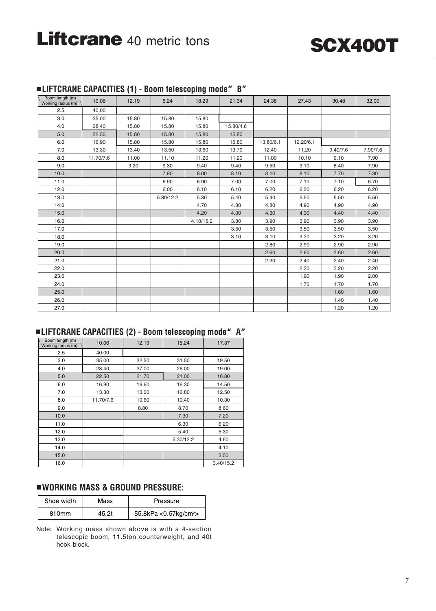

|  | LIFTCRANE CAPACITIES (1) - Boom telescoping mode" B" |  |
|--|------------------------------------------------------|--|
|  |                                                      |  |

| Boom length (m)<br>Working radius (m) | 10.06     | 12.19 | 5.24      | 18.29     | 21.34     | 24.38     | 27.43     | 30.48    | 32.00    |
|---------------------------------------|-----------|-------|-----------|-----------|-----------|-----------|-----------|----------|----------|
| 2.5                                   | 40.00     |       |           |           |           |           |           |          |          |
| 3.0                                   | 35.00     | 15.80 | 15.80     | 15.80     |           |           |           |          |          |
| 4.0                                   | 28.40     | 15.80 | 15.80     | 15.80     | 15.80/4.6 |           |           |          |          |
| 5.0                                   | 22.50     | 15.80 | 15.80     | 15.80     | 15.80     |           |           |          |          |
| 6.0                                   | 16.90     | 15.80 | 15.80     | 15.80     | 15.80     | 13.80/6.1 | 12.20/6.1 |          |          |
| 7.0                                   | 13.30     | 13.40 | 13.50     | 13.60     | 13.70     | 12.40     | 11.20     | 9.40/7.6 | 7.90/7.6 |
| 8.0                                   | 11.70/7.6 | 11.00 | 11.10     | 11.20     | 11.20     | 11.00     | 10.10     | 9.10     | 7.90     |
| 9.0                                   |           | 9.20  | 9.30      | 9.40      | 9.40      | 9.50      | 9.10      | 8.40     | 7.90     |
| 10.0                                  |           |       | 7.90      | 8.00      | 8.10      | 8.10      | 8.10      | 7.70     | 7.30     |
| 11.0                                  |           |       | 6.90      | 6.90      | 7.00      | 7.00      | 7.10      | 7.10     | 6.70     |
| 12.0                                  |           |       | 6.00      | 6.10      | 6.10      | 6.20      | 6.20      | 6.20     | 6.20     |
| 13.0                                  |           |       | 5.80/12.2 | 5.30      | 5.40      | 5.40      | 5.50      | 5.50     | 5.50     |
| 14.0                                  |           |       |           | 4.70      | 4.80      | 4.80      | 4.90      | 4.90     | 4.90     |
| 15.0                                  |           |       |           | 4.20      | 4.30      | 4.30      | 4.30      | 4.40     | 4.40     |
| 16.0                                  |           |       |           | 4.10/15.2 | 3.80      | 3.90      | 3.90      | 3.90     | 3.90     |
| 17.0                                  |           |       |           |           | 3.50      | 3.50      | 3.50      | 3.50     | 3.50     |
| 18.0                                  |           |       |           |           | 3.10      | 3.10      | 3.20      | 3.20     | 3.20     |
| 19.0                                  |           |       |           |           |           | 2.80      | 2.90      | 2.90     | 2.90     |
| 20.0                                  |           |       |           |           |           | 2.60      | 2.60      | 2.60     | 2.60     |
| 21.0                                  |           |       |           |           |           | 2.30      | 2.40      | 2.40     | 2.40     |
| 22.0                                  |           |       |           |           |           |           | 2.20      | 2.20     | 2.20     |
| 23.0                                  |           |       |           |           |           |           | 1.90      | 1.90     | 2.00     |
| 24.0                                  |           |       |           |           |           |           | 1.70      | 1.70     | 1.70     |
| 25.0                                  |           |       |           |           |           |           |           | 1.60     | 1.60     |
| 26.0                                  |           |       |           |           |           |           |           | 1.40     | 1.40     |
| 27.0                                  |           |       |           |           |           |           |           | 1.20     | 1.20     |

#### **LIFTCRANE CAPACITIES (2) - Boom telescoping mode**"**A**"

| Boom length (m)<br>Working radius (m) | 10.06     | 12.19 | 15.24     | 17.37     |
|---------------------------------------|-----------|-------|-----------|-----------|
| 2.5                                   | 40.00     |       |           |           |
| 3.0                                   | 35.00     | 32.50 | 31.50     | 19.50     |
| 4.0                                   | 28.40     | 27.00 | 26.00     | 19.00     |
| 5.0                                   | 22.50     | 21.70 | 21.00     | 16.80     |
| 6.0                                   | 16.90     | 16.60 | 16.30     | 14.50     |
| 7.0                                   | 13.30     | 13.00 | 12.80     | 12.50     |
| 8.0                                   | 11.70/7.6 | 10.60 | 10.40     | 10.30     |
| 9.0                                   |           | 8.80  | 8.70      | 8.60      |
| 10.0                                  |           |       | 7.30      | 7.20      |
| 11.0                                  |           |       | 6.30      | 6.20      |
| 12.0                                  |           |       | 5.40      | 5.30      |
| 13.0                                  |           |       | 5.30/12.2 | 4.60      |
| 14.0                                  |           |       |           | 4.10      |
| 15.0                                  |           |       |           | 3.50      |
| 16.0                                  |           |       |           | 3.40/15.2 |

#### **WORKING MASS & GROUND PRESSURE:**

| Shoe width | Mass  | Pressure                           |
|------------|-------|------------------------------------|
| 810mm      | 45.2t | 55.8kPa < 0.57kg/cm <sup>2</sup> > |

Note: Working mass shown above is with a 4-section telescopic boom, 11.5ton counterweight, and 40t hook block.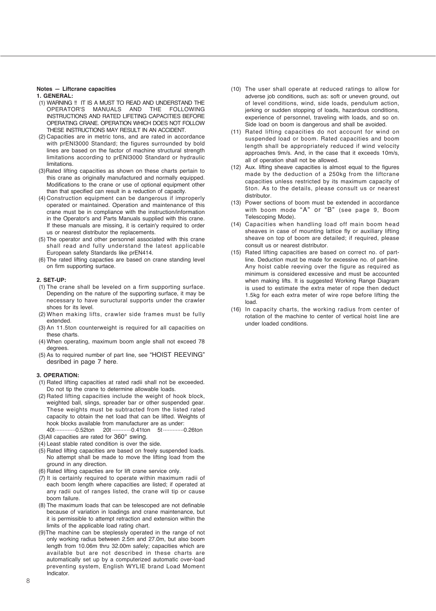#### **Notes — Liftcrane capacities**

#### **1. GENERAL:**

- (1) WARNING !! IT IS A MUST TO READ AND UNDERSTAND THE MANUALS AND THE INSTRUCTIONS AND RATED LIFETING CAPACITIES BEFORE OPERATING CRANE. OPERATION WHICH DOES NOT FOLLOW THESE INSTRUCTIONS MAY RESULT IN AN ACCIDENT.
- (2) Capacities are in metric tons, and are rated in accordance with prENI3000 Standard; the figures surrounded by bold lines are based on the factor of machine structural strength limitations according to prENI3000 Standard or hydraulic limitations.
- (3)Rated lifting capacities as shown on these charts pertain to this crane as originally manufactured and normally equipped. Modifications to the crane or use of optional equipment other than that specified can result in a reduction of capacity.
- (4) Construction equipment can be dangerous if improperly operated or maintained. Operation and maintenance of this crane must be in compliance with the instruction/information in the Operator's and Parts Manuals supplied with this crane. If these manuals are missing, it is certain'y required to order us or nearest distributor the replacements.
- (5) The operator and other personnel associated with this crane shall read and fully understand the latest applicable European safety Standards like prEN414.
- (6) The rated lifting capacties are based on crane standing level on firm supporting surtace.

#### **2. SET-UP:**

- (1) The crane shall be leveled on a firm supporting surface. Depending on the nature of the supporting surface, it may be necessary to have suructural supports under the crawler shoes for its level.
- (2) When making lifts, crawler side frames must be fully extended.
- (3) An 11.5ton counterweight is required for all capacities on these charts.
- (4) When operating, maximum boom angle shall not exceed 78 degrees.
- (5) As to required number of part line, see "HOIST REEVING" desribed in page 7 here.

#### **3. OPERATION:**

- (1) Rated lifting capacities at rated radii shall not be exceeded. Do not tip the crane to determine allowable loads.
- (2) Rated lifting capacities include the weight of hook block, weighted ball, slings, spreader bar or other suspended gear. These weights must be subtracted from the listed rated capacity to obtain the net load that can be lifted. Weights of hook blocks available from manufacturer are as under:

40t.............0.52ton 20t ............0.41ton 5t .............0.26ton (3)All capacities are rated for 360° swing.

- (4) Least stable rated condition is over the side.
- (5) Rated lifting capacities are based on freely suspended loads. No attempt shall be made to move the lifting load from the ground in any direction.
- (6) Rated lifting capacties are for lift crane service only.
- (7) It is certainly required to operate within maximum radii of each boom length where capacities are listed; if operated at any radii out of ranges listed, the crane will tip or cause boom failure.
- (8) The maximum loads that can be telescoped are not definable because of variation in loadings and crane maintenance, but it is permissible to attempt retraction and extension within the limits of the applicable load rating chart.
- (9)The machine can be steplessly operated in the range of not only working radius between 2.5m and 27.0m, but also boom length from 10.06m thru 32.00m safely; capacities which are available but are not described in these charts are automatically set up by a computerized automatic over-load preventing system, English WYLIE brand Load Moment Indicator.
- (10) The user shall operate at reduced ratings to allow for adverse job conditions, such as: soft or uneven ground, out of level conditions, wind, side loads, pendulum action, jerking or sudden stopping of loads, hazardous conditions, experience of personnel, traveling with loads, and so on. Side load on boom is dangerous and shall be avoided.
- (11) Rated lifting capacities do not account for wind on suspended load or boom. Rated capacities and boom length shall be appropriately reduced if wind velocity approaches 9m/s. And, in the case that it exceeds 10m/s, all of operation shall not be allowed.
- (12) Aux. lifting sheave capacities is almost equal to the figures made by the deduction of a 250kg from the liftcrane capacities unless restricted by its maximum capacity of 5ton. As to the details, please consult us or nearest distributor.
- (13) Power sections of boom must be extended in accordance with boom mode "A" or "B" (see page 9, Boom Telescoping Mode).
- (14) Capacities when handling load off main boom head sheaves in case of mounting lattice fly or auxiliary lifting sheave on top of boom are detailed; if required, please consult us or nearest distributor.
- (15) Rated lifting capacities are based on correct no. of partline. Deduction must be made for excessive no. of part-line. Any hoist cable reeving over the figure as required as minimum is considered excessive and must be accounted when making lifts. It is suggested Working Range Diagram is used to estimate the extra meter of rope then deduct 1.5kg for each extra meter of wire rope before lifting the load.
- (16) In capacity charts, the working radius from center of rotation of the machine to center of vertical hoist line are under loaded conditions.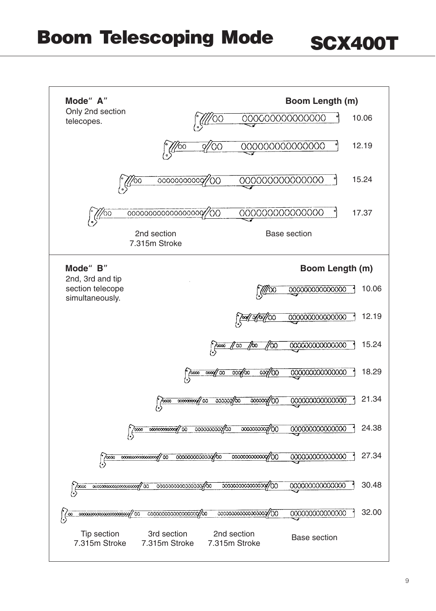### **SCX400T**

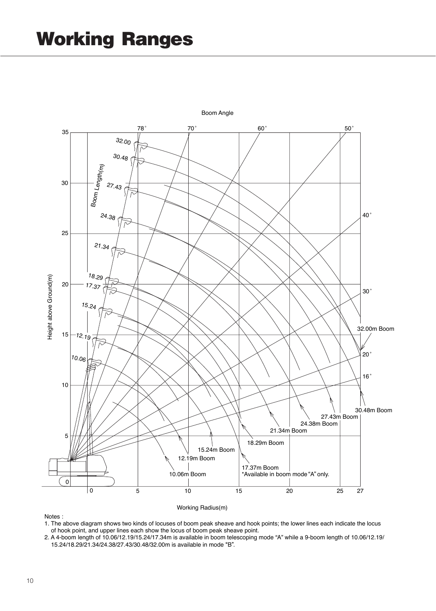

Working Radius(m)

1. The above diagram shows two kinds of locuses of boom peak sheave and hook points; the lower lines each indicate the locus of hook point, and upper lines each show the locus of boom peak sheave point.

2. A 4-boom length of 10.06/12.19/15.24/17.34m is available in boom telescoping mode "A" while a 9-boom length of 10.06/12.19/ 15.24/18.29/21.34/24.38/27.43/30.48/32.00m is available in mode "B".

Notes :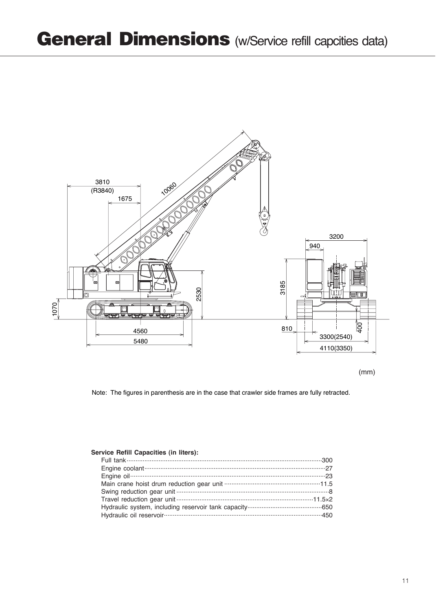

(mm)

Note: The figures in parenthesis are in the case that crawler side frames are fully retracted.

#### **Service Refill Capacities (in liters):**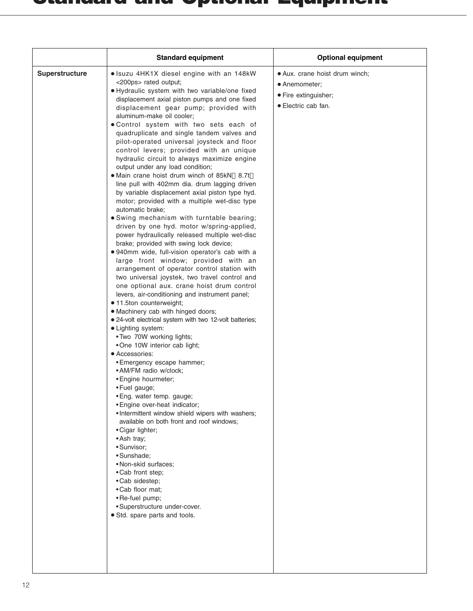|                | <b>Standard equipment</b>                                                                                                                                                                                                                                                                                                                                                                                                                                                                                                                                                                                                                                                                                                                                                                                                                                                                                                                                                                                                                                                                                                                                                                                                                                                                                                                                                                                                                                                                                                                                                                                                                                                                                                                                                                                                                                                                                                                                              | <b>Optional equipment</b>                                                                      |
|----------------|------------------------------------------------------------------------------------------------------------------------------------------------------------------------------------------------------------------------------------------------------------------------------------------------------------------------------------------------------------------------------------------------------------------------------------------------------------------------------------------------------------------------------------------------------------------------------------------------------------------------------------------------------------------------------------------------------------------------------------------------------------------------------------------------------------------------------------------------------------------------------------------------------------------------------------------------------------------------------------------------------------------------------------------------------------------------------------------------------------------------------------------------------------------------------------------------------------------------------------------------------------------------------------------------------------------------------------------------------------------------------------------------------------------------------------------------------------------------------------------------------------------------------------------------------------------------------------------------------------------------------------------------------------------------------------------------------------------------------------------------------------------------------------------------------------------------------------------------------------------------------------------------------------------------------------------------------------------------|------------------------------------------------------------------------------------------------|
| Superstructure | • Isuzu 4HK1X diesel engine with an 148kW<br><200ps> rated output;<br>· Hydraulic system with two variable/one fixed<br>displacement axial piston pumps and one fixed<br>displacement gear pump; provided with<br>aluminum-make oil cooler;<br>• Control system with two sets each of<br>quadruplicate and single tandem valves and<br>pilot-operated universal joysteck and floor<br>control levers; provided with an unique<br>hydraulic circuit to always maximize engine<br>output under any load condition;<br>• Main crane hoist drum winch of 85kN 8.7t<br>line pull with 402mm dia. drum lagging driven<br>by variable displacement axial piston type hyd.<br>motor; provided with a multiple wet-disc type<br>automatic brake;<br>• Swing mechanism with turntable bearing;<br>driven by one hyd. motor w/spring-applied,<br>power hydraulically released multiple wet-disc<br>brake; provided with swing lock device;<br>• 940mm wide, full-vision operator's cab with a<br>large front window; provided with an<br>arrangement of operator control station with<br>two universal joystek, two travel control and<br>one optional aux. crane hoist drum control<br>levers, air-conditioning and instrument panel;<br>• 11.5ton counterweight;<br>• Machinery cab with hinged doors;<br>• 24-volt electrical system with two 12-volt batteries;<br>· Lighting system:<br>. Two 70W working lights;<br>•One 10W interior cab light;<br>• Accessories:<br>• Emergency escape hammer;<br>• AM/FM radio w/clock;<br>• Engine hourmeter;<br>• Fuel gauge;<br>• Eng. water temp. gauge;<br>• Engine over-heat indicator;<br>• Intermittent window shield wipers with washers;<br>available on both front and roof windows:<br>• Cigar lighter;<br>• Ash tray;<br>• Sunvisor:<br>·Sunshade:<br>• Non-skid surfaces:<br>• Cab front step;<br>• Cab sidestep;<br>• Cab floor mat;<br>• Re-fuel pump;<br>• Superstructure under-cover.<br>• Std. spare parts and tools. | · Aux. crane hoist drum winch;<br>• Anemometer:<br>• Fire extinguisher;<br>• Electric cab fan. |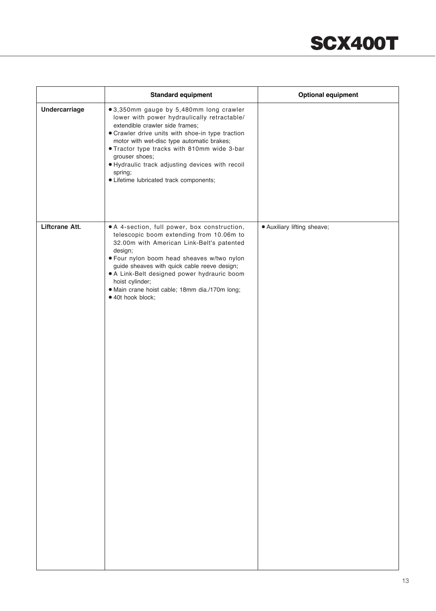|                      | <b>Standard equipment</b>                                                                                                                                                                                                                                                                                                                                                                             | <b>Optional equipment</b>   |
|----------------------|-------------------------------------------------------------------------------------------------------------------------------------------------------------------------------------------------------------------------------------------------------------------------------------------------------------------------------------------------------------------------------------------------------|-----------------------------|
| <b>Undercarriage</b> | ● 3,350mm gauge by 5,480mm long crawler<br>lower with power hydraulically retractable/<br>extendible crawler side frames;<br>• Crawler drive units with shoe-in type traction<br>motor with wet-disc type automatic brakes;<br>. Tractor type tracks with 810mm wide 3-bar<br>grouser shoes;<br>· Hydraulic track adjusting devices with recoil<br>spring;<br>· Lifetime lubricated track components; |                             |
| Liftcrane Att.       | . A 4-section, full power, box construction,<br>telescopic boom extending from 10.06m to<br>32.00m with American Link-Belt's patented<br>design;<br>. Four nylon boom head sheaves w/two nylon<br>guide sheaves with quick cable reeve design;<br>• A Link-Belt designed power hydrauric boom<br>hoist cylinder;<br>· Main crane hoist cable; 18mm dia./170m long;<br>· 40t hook block;               | · Auxiliary lifting sheave; |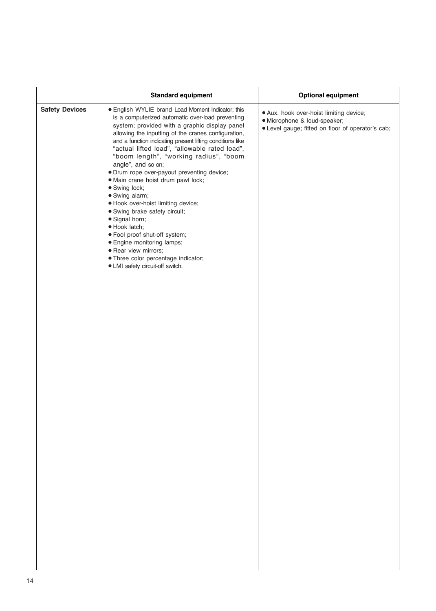| <b>Safety Devices</b><br>• English WYLIE brand Load Moment Indicator; this<br>· Aux. hook over-hoist limiting device;<br>is a computerized automatic over-load preventing<br>· Microphone & loud-speaker;<br>system; provided with a graphic display panel<br>• Level gauge; fitted on floor of operator's cab;<br>allowing the inputting of the cranes configuration,<br>and a function indicating present lifting conditions like<br>"actual lifted load", "allowable rated load",<br>"boom length", "working radius", "boom<br>angle", and so on;<br>· Drum rope over-payout preventing device;<br>· Main crane hoist drum pawl lock;<br>· Swing lock;<br>· Swing alarm;<br>· Hook over-hoist limiting device;<br>· Swing brake safety circuit;<br>· Signal horn;<br>· Hook latch;<br>· Fool proof shut-off system;<br>· Engine monitoring lamps;<br>· Rear view mirrors;<br>· Three color percentage indicator;<br>• LMI safety circuit-off switch. | <b>Standard equipment</b> | <b>Optional equipment</b> |
|---------------------------------------------------------------------------------------------------------------------------------------------------------------------------------------------------------------------------------------------------------------------------------------------------------------------------------------------------------------------------------------------------------------------------------------------------------------------------------------------------------------------------------------------------------------------------------------------------------------------------------------------------------------------------------------------------------------------------------------------------------------------------------------------------------------------------------------------------------------------------------------------------------------------------------------------------------|---------------------------|---------------------------|
|                                                                                                                                                                                                                                                                                                                                                                                                                                                                                                                                                                                                                                                                                                                                                                                                                                                                                                                                                         |                           |                           |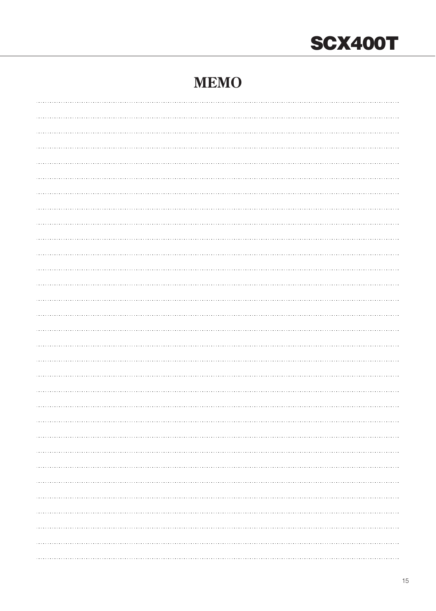## **SCX400T**

### **MEMO**

| . |
|---|
|   |
|   |
|   |
|   |
|   |
|   |
|   |
|   |
|   |
|   |
|   |
|   |
|   |
|   |
|   |
|   |
|   |
|   |
|   |
|   |
|   |
|   |
|   |
|   |
|   |
|   |
|   |
|   |
|   |
|   |
|   |
|   |
|   |
|   |
|   |
|   |
|   |
|   |
|   |
|   |
|   |
|   |
|   |
|   |
|   |
|   |
|   |
| . |
|   |
|   |
|   |